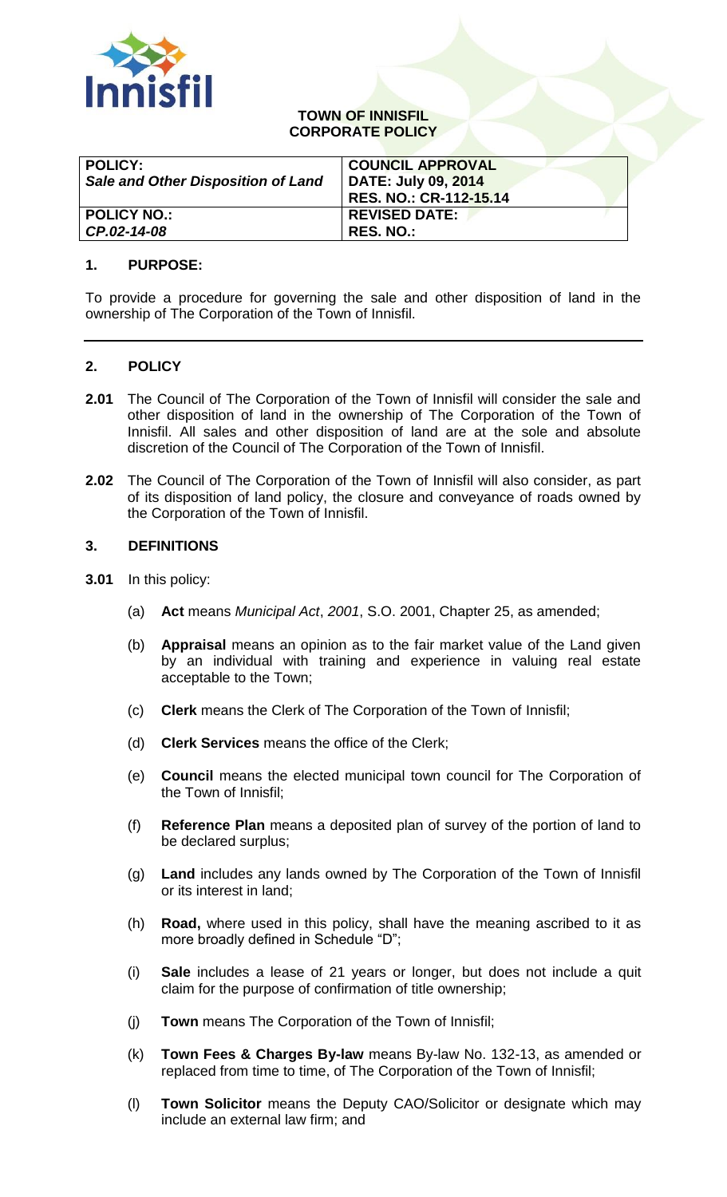

## **TOWN OF INNISFIL CORPORATE POLICY**

| <b>POLICY:</b><br><b>Sale and Other Disposition of Land</b> | <b>COUNCIL APPROVAL</b><br>DATE: July 09, 2014<br>RES. NO.: CR-112-15.14 |
|-------------------------------------------------------------|--------------------------------------------------------------------------|
| <b>POLICY NO.:</b>                                          | <b>REVISED DATE:</b>                                                     |
| CP.02-14-08                                                 | <b>RES. NO.:</b>                                                         |

## **1. PURPOSE:**

To provide a procedure for governing the sale and other disposition of land in the ownership of The Corporation of the Town of Innisfil.

# **2. POLICY**

- **2.01** The Council of The Corporation of the Town of Innisfil will consider the sale and other disposition of land in the ownership of The Corporation of the Town of Innisfil. All sales and other disposition of land are at the sole and absolute discretion of the Council of The Corporation of the Town of Innisfil.
- **2.02** The Council of The Corporation of the Town of Innisfil will also consider, as part of its disposition of land policy, the closure and conveyance of roads owned by the Corporation of the Town of Innisfil.

#### **3. DEFINITIONS**

- **3.01** In this policy:
	- (a) **Act** means *Municipal Act*, *2001*, S.O. 2001, Chapter 25, as amended;
	- (b) **Appraisal** means an opinion as to the fair market value of the Land given by an individual with training and experience in valuing real estate acceptable to the Town;
	- (c) **Clerk** means the Clerk of The Corporation of the Town of Innisfil;
	- (d) **Clerk Services** means the office of the Clerk;
	- (e) **Council** means the elected municipal town council for The Corporation of the Town of Innisfil;
	- (f) **Reference Plan** means a deposited plan of survey of the portion of land to be declared surplus;
	- (g) **Land** includes any lands owned by The Corporation of the Town of Innisfil or its interest in land;
	- (h) **Road,** where used in this policy, shall have the meaning ascribed to it as more broadly defined in Schedule "D";
	- (i) **Sale** includes a lease of 21 years or longer, but does not include a quit claim for the purpose of confirmation of title ownership;
	- (j) **Town** means The Corporation of the Town of Innisfil;
	- (k) **Town Fees & Charges By-law** means By-law No. 132-13, as amended or replaced from time to time, of The Corporation of the Town of Innisfil;
	- (l) **Town Solicitor** means the Deputy CAO/Solicitor or designate which may include an external law firm; and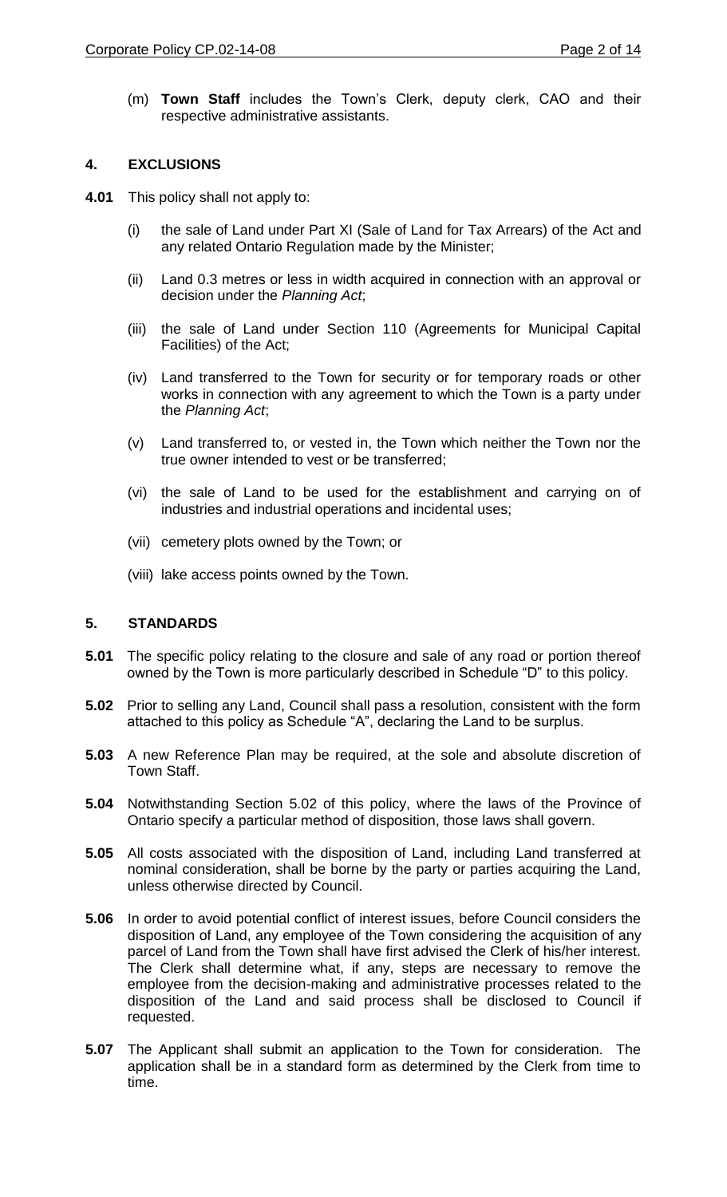## **4. EXCLUSIONS**

- **4.01** This policy shall not apply to:
	- (i) the sale of Land under Part XI (Sale of Land for Tax Arrears) of the Act and any related Ontario Regulation made by the Minister;
	- (ii) Land 0.3 metres or less in width acquired in connection with an approval or decision under the *Planning Act*;
	- (iii) the sale of Land under Section 110 (Agreements for Municipal Capital Facilities) of the Act;
	- (iv) Land transferred to the Town for security or for temporary roads or other works in connection with any agreement to which the Town is a party under the *Planning Act*;
	- (v) Land transferred to, or vested in, the Town which neither the Town nor the true owner intended to vest or be transferred;
	- (vi) the sale of Land to be used for the establishment and carrying on of industries and industrial operations and incidental uses;
	- (vii) cemetery plots owned by the Town; or
	- (viii) lake access points owned by the Town.

#### **5. STANDARDS**

- **5.01** The specific policy relating to the closure and sale of any road or portion thereof owned by the Town is more particularly described in Schedule "D" to this policy.
- **5.02** Prior to selling any Land, Council shall pass a resolution, consistent with the form attached to this policy as Schedule "A", declaring the Land to be surplus.
- **5.03** A new Reference Plan may be required, at the sole and absolute discretion of Town Staff.
- **5.04** Notwithstanding Section 5.02 of this policy, where the laws of the Province of Ontario specify a particular method of disposition, those laws shall govern.
- **5.05** All costs associated with the disposition of Land, including Land transferred at nominal consideration, shall be borne by the party or parties acquiring the Land, unless otherwise directed by Council.
- **5.06** In order to avoid potential conflict of interest issues, before Council considers the disposition of Land, any employee of the Town considering the acquisition of any parcel of Land from the Town shall have first advised the Clerk of his/her interest. The Clerk shall determine what, if any, steps are necessary to remove the employee from the decision-making and administrative processes related to the disposition of the Land and said process shall be disclosed to Council if requested.
- **5.07** The Applicant shall submit an application to the Town for consideration. The application shall be in a standard form as determined by the Clerk from time to time.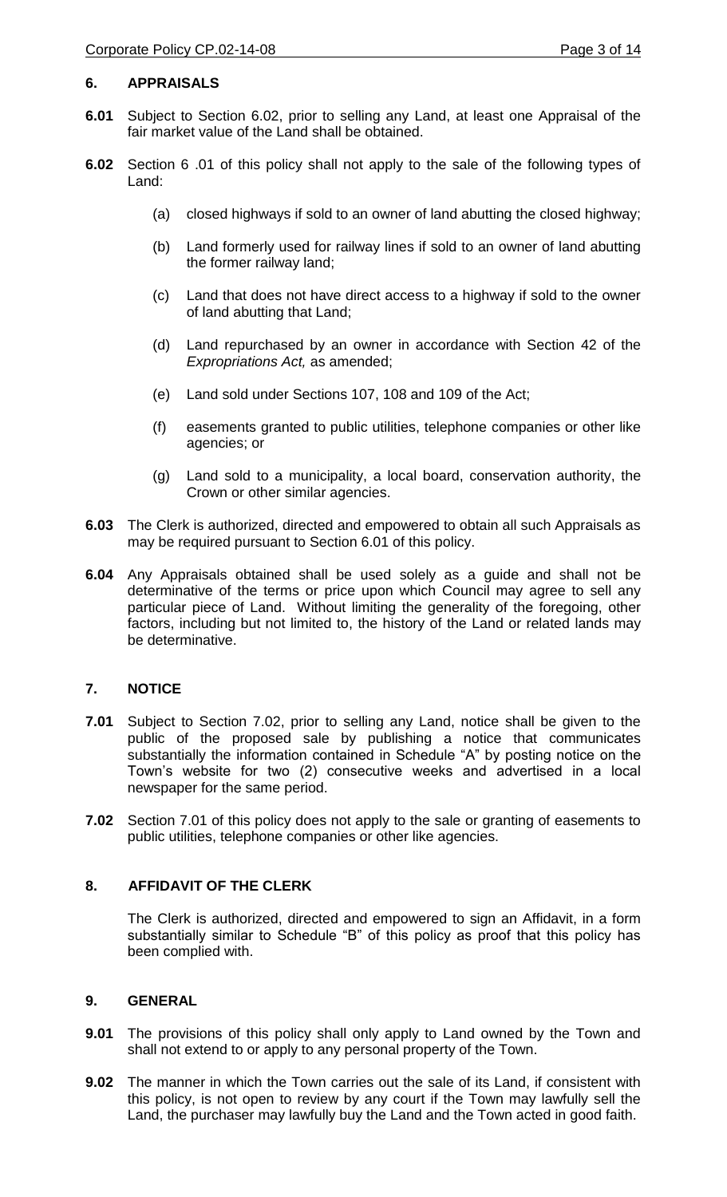## **6. APPRAISALS**

- **6.01** Subject to Section 6.02, prior to selling any Land, at least one Appraisal of the fair market value of the Land shall be obtained.
- **6.02** Section 6 .01 of this policy shall not apply to the sale of the following types of Land:
	- (a) closed highways if sold to an owner of land abutting the closed highway;
	- (b) Land formerly used for railway lines if sold to an owner of land abutting the former railway land;
	- (c) Land that does not have direct access to a highway if sold to the owner of land abutting that Land;
	- (d) Land repurchased by an owner in accordance with Section 42 of the *Expropriations Act,* as amended;
	- (e) Land sold under Sections 107, 108 and 109 of the Act;
	- (f) easements granted to public utilities, telephone companies or other like agencies; or
	- (g) Land sold to a municipality, a local board, conservation authority, the Crown or other similar agencies.
- **6.03** The Clerk is authorized, directed and empowered to obtain all such Appraisals as may be required pursuant to Section 6.01 of this policy.
- **6.04** Any Appraisals obtained shall be used solely as a guide and shall not be determinative of the terms or price upon which Council may agree to sell any particular piece of Land. Without limiting the generality of the foregoing, other factors, including but not limited to, the history of the Land or related lands may be determinative.

# **7. NOTICE**

- **7.01** Subject to Section 7.02, prior to selling any Land, notice shall be given to the public of the proposed sale by publishing a notice that communicates substantially the information contained in Schedule "A" by posting notice on the Town's website for two (2) consecutive weeks and advertised in a local newspaper for the same period.
- **7.02** Section 7.01 of this policy does not apply to the sale or granting of easements to public utilities, telephone companies or other like agencies.

## **8. AFFIDAVIT OF THE CLERK**

The Clerk is authorized, directed and empowered to sign an Affidavit, in a form substantially similar to Schedule "B" of this policy as proof that this policy has been complied with.

#### **9. GENERAL**

- **9.01** The provisions of this policy shall only apply to Land owned by the Town and shall not extend to or apply to any personal property of the Town.
- **9.02** The manner in which the Town carries out the sale of its Land, if consistent with this policy, is not open to review by any court if the Town may lawfully sell the Land, the purchaser may lawfully buy the Land and the Town acted in good faith.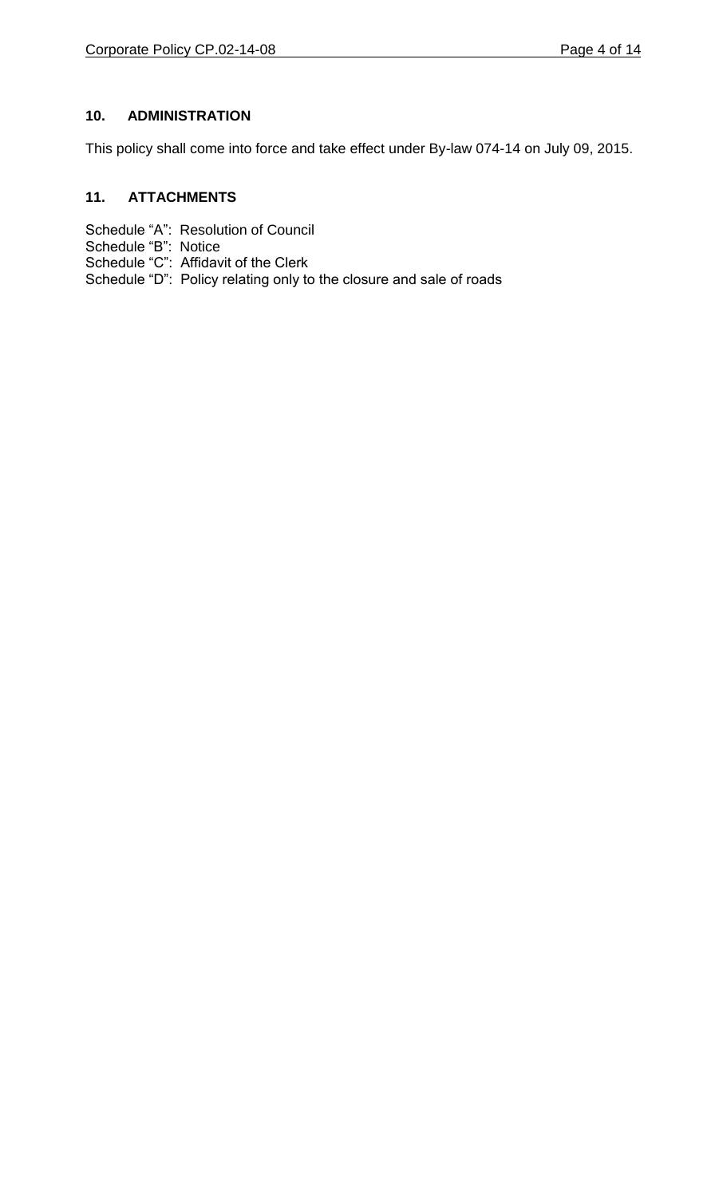# **10. ADMINISTRATION**

This policy shall come into force and take effect under By-law 074-14 on July 09, 2015.

# **11. ATTACHMENTS**

- Schedule "A": Resolution of Council
- Schedule "B": Notice
- Schedule "C": Affidavit of the Clerk
- Schedule "D": Policy relating only to the closure and sale of roads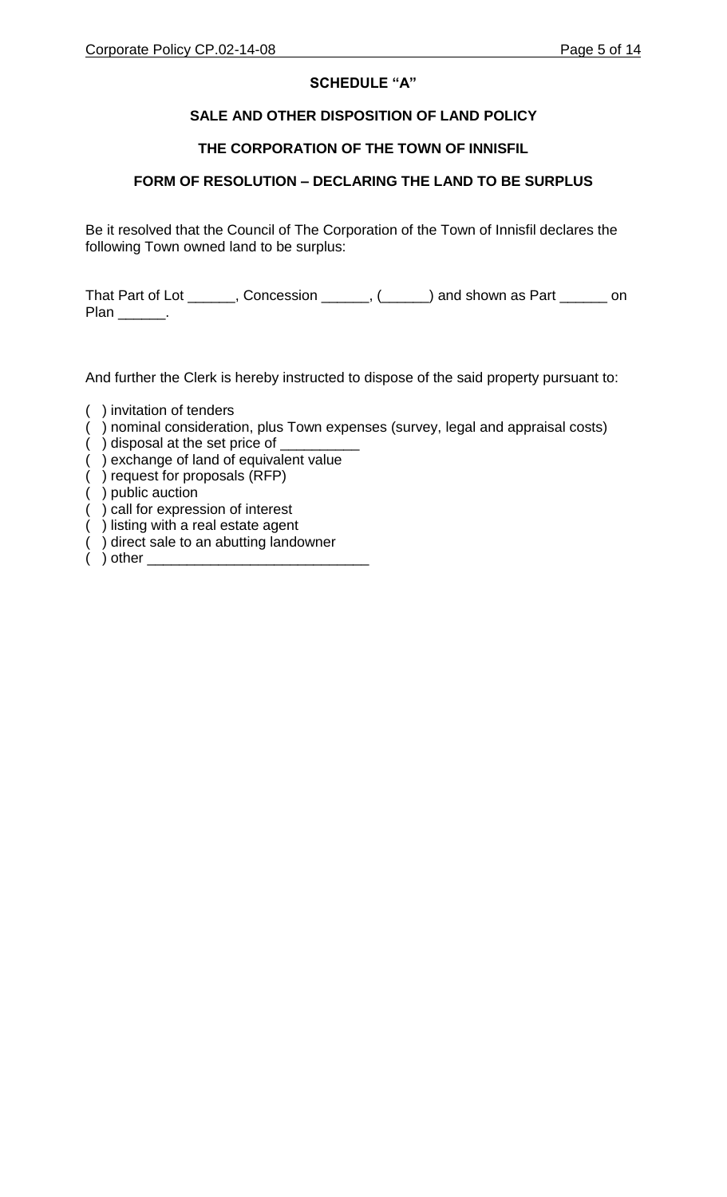# **SCHEDULE "A"**

# **SALE AND OTHER DISPOSITION OF LAND POLICY**

# **THE CORPORATION OF THE TOWN OF INNISFIL**

# **FORM OF RESOLUTION – DECLARING THE LAND TO BE SURPLUS**

Be it resolved that the Council of The Corporation of the Town of Innisfil declares the following Town owned land to be surplus:

That Part of Lot \_\_\_\_\_, Concession \_\_\_\_\_, (\_\_\_\_) and shown as Part \_\_\_\_\_ on Plan \_\_\_\_\_\_\_.

And further the Clerk is hereby instructed to dispose of the said property pursuant to:

- ( ) invitation of tenders
- ( ) nominal consideration, plus Town expenses (survey, legal and appraisal costs)
- () disposal at the set price of
- ( ) exchange of land of equivalent value
- ( ) request for proposals (RFP)
- ( ) public auction
- ( ) call for expression of interest
- ( ) listing with a real estate agent
- ( ) direct sale to an abutting landowner
- $($   $)$  other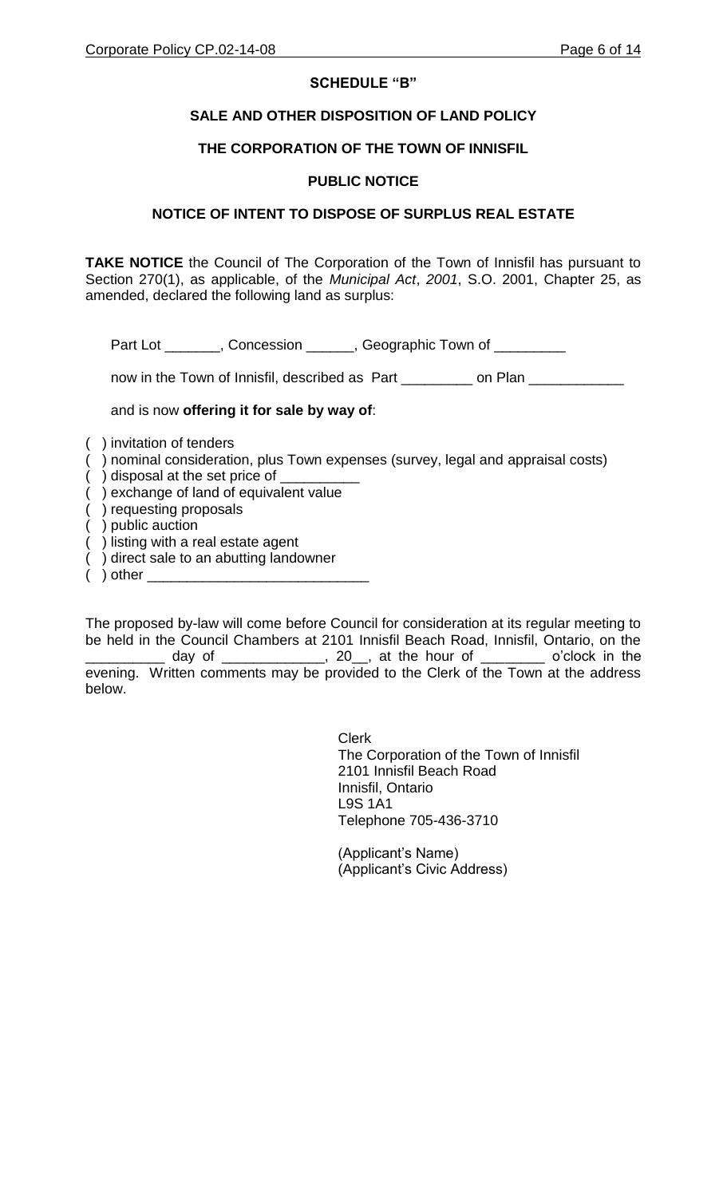## **SCHEDULE "B"**

## **SALE AND OTHER DISPOSITION OF LAND POLICY**

#### **THE CORPORATION OF THE TOWN OF INNISFIL**

## **PUBLIC NOTICE**

## **NOTICE OF INTENT TO DISPOSE OF SURPLUS REAL ESTATE**

**TAKE NOTICE** the Council of The Corporation of the Town of Innisfil has pursuant to Section 270(1), as applicable, of the *Municipal Act*, *2001*, S.O. 2001, Chapter 25, as amended, declared the following land as surplus:

Part Lot \_\_\_\_\_\_, Concession \_\_\_\_\_, Geographic Town of \_\_\_\_\_\_\_

now in the Town of Innisfil, described as Part \_\_\_\_\_\_\_\_ on Plan \_\_\_\_\_\_\_

## and is now **offering it for sale by way of**:

- ( ) invitation of tenders
- ( ) nominal consideration, plus Town expenses (survey, legal and appraisal costs)
- $($  ) disposal at the set price of  $\sqrt{ }$
- ( ) exchange of land of equivalent value
- ( ) requesting proposals
- ( ) public auction
- ( ) listing with a real estate agent
- ( ) direct sale to an abutting landowner
- $($  ) other  $\overline{\phantom{a}}$

The proposed by-law will come before Council for consideration at its regular meeting to be held in the Council Chambers at 2101 Innisfil Beach Road, Innisfil, Ontario, on the \_ day of \_\_\_\_\_\_\_\_\_\_\_\_\_\_, 20\_\_, at the hour of \_\_\_\_\_\_\_\_\_ o'clock in the evening. Written comments may be provided to the Clerk of the Town at the address below.

> Clerk The Corporation of the Town of Innisfil 2101 Innisfil Beach Road Innisfil, Ontario L9S 1A1 Telephone 705-436-3710

(Applicant's Name) (Applicant's Civic Address)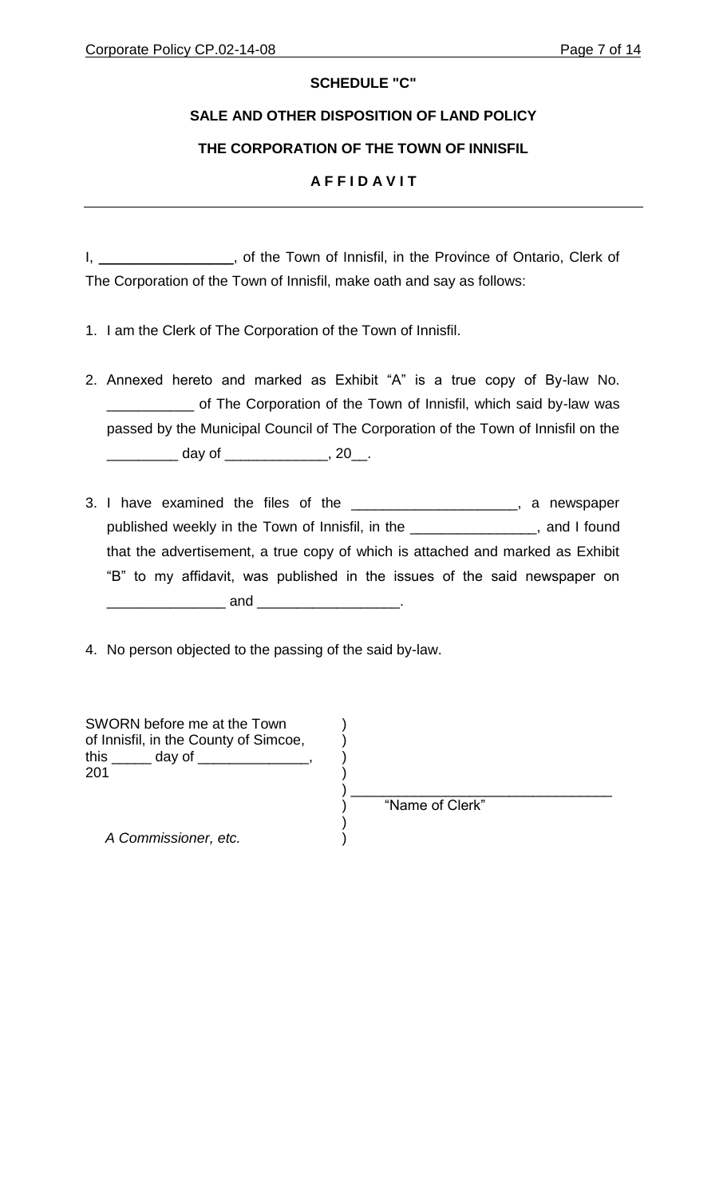# **SCHEDULE "C"**

# **SALE AND OTHER DISPOSITION OF LAND POLICY**

# **THE CORPORATION OF THE TOWN OF INNISFIL**

# **A F F I D A V I T**

I, \_\_\_\_\_\_\_\_\_\_\_\_\_\_\_\_, of the Town of Innisfil, in the Province of Ontario, Clerk of The Corporation of the Town of Innisfil, make oath and say as follows:

- 1. I am the Clerk of The Corporation of the Town of Innisfil.
- 2. Annexed hereto and marked as Exhibit "A" is a true copy of By-law No. **wave The Corporation of the Town of Innisfil, which said by-law was** passed by the Municipal Council of The Corporation of the Town of Innisfil on the \_\_\_\_\_\_\_\_\_ day of \_\_\_\_\_\_\_\_\_\_\_\_\_, 20\_\_.
- 3. I have examined the files of the \_\_\_\_\_\_\_\_\_\_\_\_\_\_\_\_\_\_\_\_\_, a newspaper published weekly in the Town of Innisfil, in the \_\_\_\_\_\_\_\_\_\_\_\_\_\_\_\_, and I found that the advertisement, a true copy of which is attached and marked as Exhibit "B" to my affidavit, was published in the issues of the said newspaper on \_\_\_\_\_\_\_\_\_\_\_\_\_\_\_ and \_\_\_\_\_\_\_\_\_\_\_\_\_\_\_\_\_\_.

4. No person objected to the passing of the said by-law.

| SWORN before me at the Town<br>of Innisfil, in the County of Simcoe,<br>this ___<br>day of |                 |
|--------------------------------------------------------------------------------------------|-----------------|
| 201                                                                                        |                 |
|                                                                                            | "Name of Clerk" |
| A Commissioner, etc.                                                                       |                 |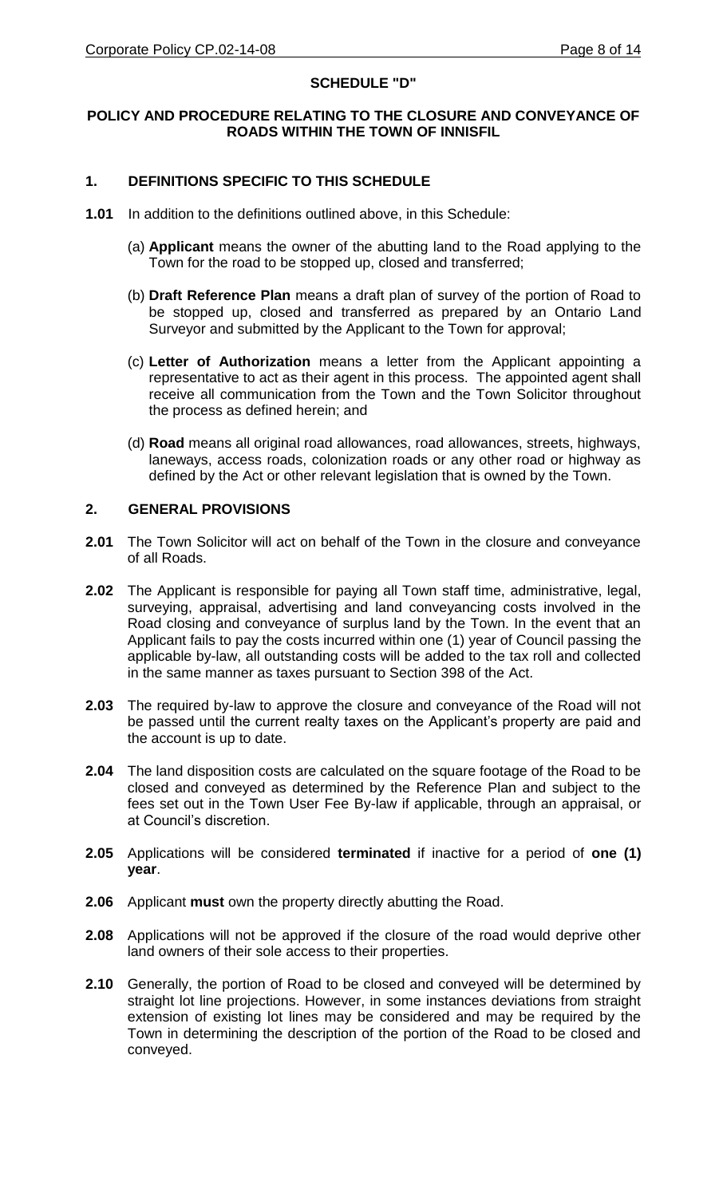# **SCHEDULE "D"**

## **POLICY AND PROCEDURE RELATING TO THE CLOSURE AND CONVEYANCE OF ROADS WITHIN THE TOWN OF INNISFIL**

## **1. DEFINITIONS SPECIFIC TO THIS SCHEDULE**

- **1.01** In addition to the definitions outlined above, in this Schedule:
	- (a) **Applicant** means the owner of the abutting land to the Road applying to the Town for the road to be stopped up, closed and transferred;
	- (b) **Draft Reference Plan** means a draft plan of survey of the portion of Road to be stopped up, closed and transferred as prepared by an Ontario Land Surveyor and submitted by the Applicant to the Town for approval;
	- (c) **Letter of Authorization** means a letter from the Applicant appointing a representative to act as their agent in this process. The appointed agent shall receive all communication from the Town and the Town Solicitor throughout the process as defined herein; and
	- (d) **Road** means all original road allowances, road allowances, streets, highways, laneways, access roads, colonization roads or any other road or highway as defined by the Act or other relevant legislation that is owned by the Town.

#### **2. GENERAL PROVISIONS**

- **2.01** The Town Solicitor will act on behalf of the Town in the closure and conveyance of all Roads.
- **2.02** The Applicant is responsible for paying all Town staff time, administrative, legal, surveying, appraisal, advertising and land conveyancing costs involved in the Road closing and conveyance of surplus land by the Town. In the event that an Applicant fails to pay the costs incurred within one (1) year of Council passing the applicable by-law, all outstanding costs will be added to the tax roll and collected in the same manner as taxes pursuant to Section 398 of the Act.
- **2.03** The required by-law to approve the closure and conveyance of the Road will not be passed until the current realty taxes on the Applicant's property are paid and the account is up to date.
- **2.04** The land disposition costs are calculated on the square footage of the Road to be closed and conveyed as determined by the Reference Plan and subject to the fees set out in the Town User Fee By-law if applicable, through an appraisal, or at Council's discretion.
- **2.05** Applications will be considered **terminated** if inactive for a period of **one (1) year**.
- **2.06** Applicant **must** own the property directly abutting the Road.
- **2.08** Applications will not be approved if the closure of the road would deprive other land owners of their sole access to their properties.
- **2.10** Generally, the portion of Road to be closed and conveyed will be determined by straight lot line projections. However, in some instances deviations from straight extension of existing lot lines may be considered and may be required by the Town in determining the description of the portion of the Road to be closed and conveyed.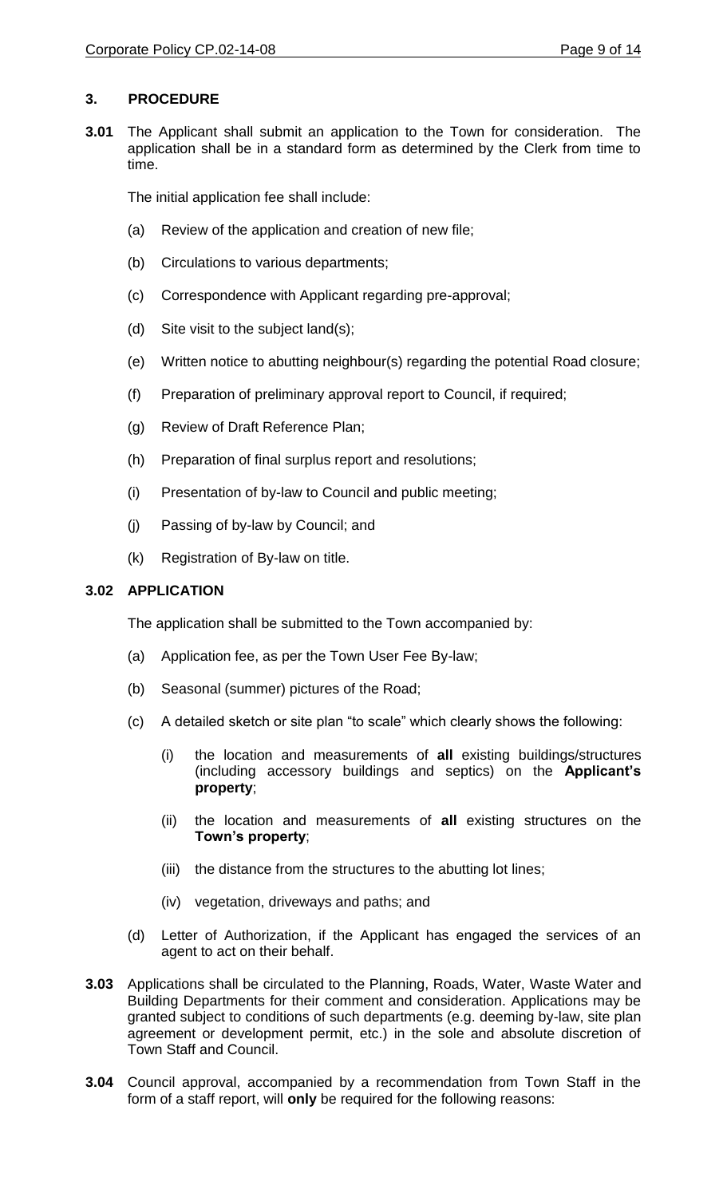# **3. PROCEDURE**

**3.01** The Applicant shall submit an application to the Town for consideration. The application shall be in a standard form as determined by the Clerk from time to time.

The initial application fee shall include:

- (a) Review of the application and creation of new file;
- (b) Circulations to various departments;
- (c) Correspondence with Applicant regarding pre-approval;
- (d) Site visit to the subject land(s);
- (e) Written notice to abutting neighbour(s) regarding the potential Road closure;
- (f) Preparation of preliminary approval report to Council, if required;
- (g) Review of Draft Reference Plan;
- (h) Preparation of final surplus report and resolutions;
- (i) Presentation of by-law to Council and public meeting;
- (j) Passing of by-law by Council; and
- (k) Registration of By-law on title.

# **3.02 APPLICATION**

The application shall be submitted to the Town accompanied by:

- (a) Application fee, as per the Town User Fee By-law;
- (b) Seasonal (summer) pictures of the Road;
- (c) A detailed sketch or site plan "to scale" which clearly shows the following:
	- (i) the location and measurements of **all** existing buildings/structures (including accessory buildings and septics) on the **Applicant's property**;
	- (ii) the location and measurements of **all** existing structures on the **Town's property**;
	- (iii) the distance from the structures to the abutting lot lines;
	- (iv) vegetation, driveways and paths; and
- (d) Letter of Authorization, if the Applicant has engaged the services of an agent to act on their behalf.
- **3.03** Applications shall be circulated to the Planning, Roads, Water, Waste Water and Building Departments for their comment and consideration. Applications may be granted subject to conditions of such departments (e.g. deeming by-law, site plan agreement or development permit, etc.) in the sole and absolute discretion of Town Staff and Council.
- **3.04** Council approval, accompanied by a recommendation from Town Staff in the form of a staff report, will **only** be required for the following reasons: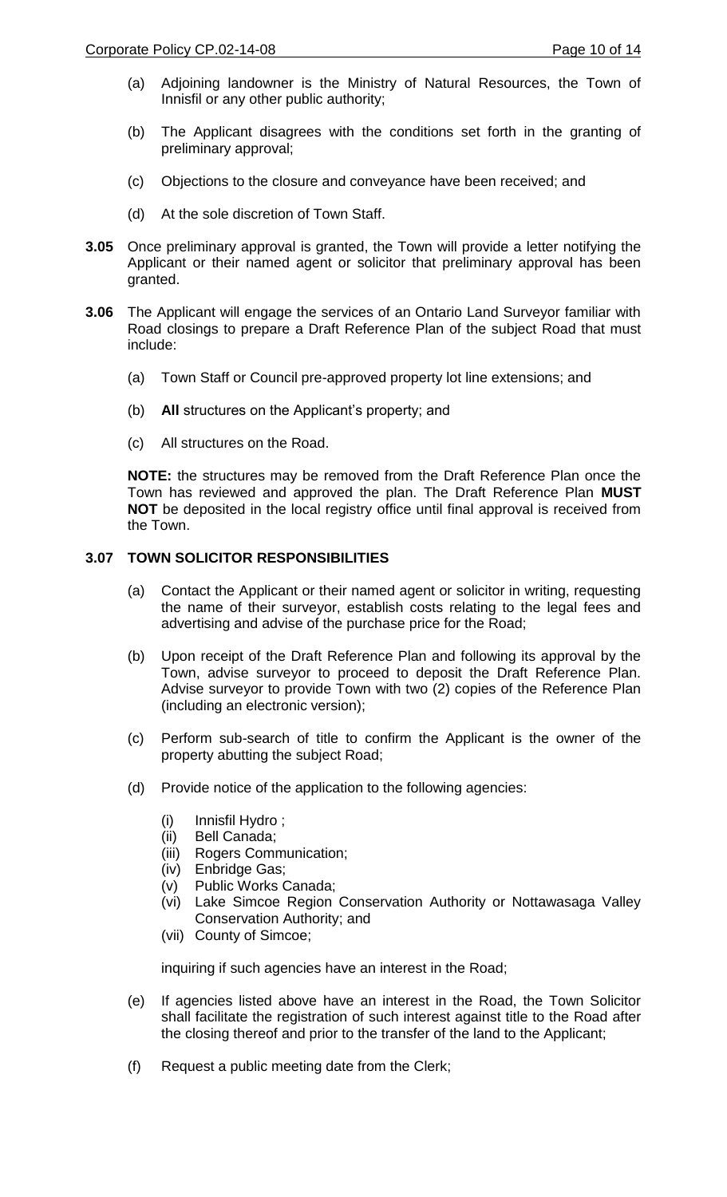- (a) Adjoining landowner is the Ministry of Natural Resources, the Town of Innisfil or any other public authority;
- (b) The Applicant disagrees with the conditions set forth in the granting of preliminary approval;
- (c) Objections to the closure and conveyance have been received; and
- (d) At the sole discretion of Town Staff.
- **3.05** Once preliminary approval is granted, the Town will provide a letter notifying the Applicant or their named agent or solicitor that preliminary approval has been granted.
- **3.06** The Applicant will engage the services of an Ontario Land Surveyor familiar with Road closings to prepare a Draft Reference Plan of the subject Road that must include:
	- (a) Town Staff or Council pre-approved property lot line extensions; and
	- (b) **All** structures on the Applicant's property; and
	- (c) All structures on the Road.

**NOTE:** the structures may be removed from the Draft Reference Plan once the Town has reviewed and approved the plan. The Draft Reference Plan **MUST NOT** be deposited in the local registry office until final approval is received from the Town.

## **3.07 TOWN SOLICITOR RESPONSIBILITIES**

- (a) Contact the Applicant or their named agent or solicitor in writing, requesting the name of their surveyor, establish costs relating to the legal fees and advertising and advise of the purchase price for the Road;
- (b) Upon receipt of the Draft Reference Plan and following its approval by the Town, advise surveyor to proceed to deposit the Draft Reference Plan. Advise surveyor to provide Town with two (2) copies of the Reference Plan (including an electronic version);
- (c) Perform sub-search of title to confirm the Applicant is the owner of the property abutting the subject Road;
- (d) Provide notice of the application to the following agencies:
	- (i) Innisfil Hydro ;
	- (ii) Bell Canada;
	- (iii) Rogers Communication;
	- (iv) Enbridge Gas;
	- (v) Public Works Canada;
	- (vi) Lake Simcoe Region Conservation Authority or Nottawasaga Valley Conservation Authority; and
	- (vii) County of Simcoe;

inquiring if such agencies have an interest in the Road;

- (e) If agencies listed above have an interest in the Road, the Town Solicitor shall facilitate the registration of such interest against title to the Road after the closing thereof and prior to the transfer of the land to the Applicant;
- (f) Request a public meeting date from the Clerk;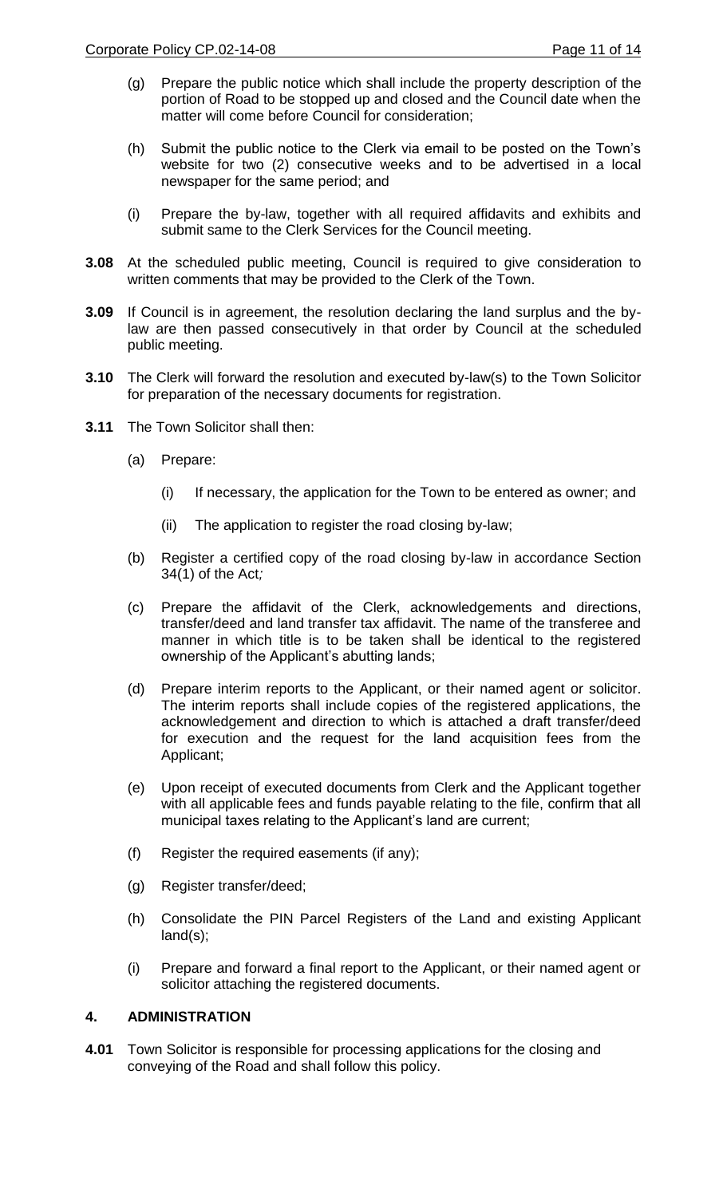- (g) Prepare the public notice which shall include the property description of the portion of Road to be stopped up and closed and the Council date when the matter will come before Council for consideration;
- (h) Submit the public notice to the Clerk via email to be posted on the Town's website for two (2) consecutive weeks and to be advertised in a local newspaper for the same period; and
- (i) Prepare the by-law, together with all required affidavits and exhibits and submit same to the Clerk Services for the Council meeting.
- **3.08** At the scheduled public meeting, Council is required to give consideration to written comments that may be provided to the Clerk of the Town.
- **3.09** If Council is in agreement, the resolution declaring the land surplus and the bylaw are then passed consecutively in that order by Council at the scheduled public meeting.
- **3.10** The Clerk will forward the resolution and executed by-law(s) to the Town Solicitor for preparation of the necessary documents for registration.
- **3.11** The Town Solicitor shall then:
	- (a) Prepare:
		- (i) If necessary, the application for the Town to be entered as owner; and
		- (ii) The application to register the road closing by-law;
	- (b) Register a certified copy of the road closing by-law in accordance Section 34(1) of the Act*;*
	- (c) Prepare the affidavit of the Clerk, acknowledgements and directions, transfer/deed and land transfer tax affidavit. The name of the transferee and manner in which title is to be taken shall be identical to the registered ownership of the Applicant's abutting lands;
	- (d) Prepare interim reports to the Applicant, or their named agent or solicitor. The interim reports shall include copies of the registered applications, the acknowledgement and direction to which is attached a draft transfer/deed for execution and the request for the land acquisition fees from the Applicant;
	- (e) Upon receipt of executed documents from Clerk and the Applicant together with all applicable fees and funds payable relating to the file, confirm that all municipal taxes relating to the Applicant's land are current;
	- (f) Register the required easements (if any);
	- (g) Register transfer/deed;
	- (h) Consolidate the PIN Parcel Registers of the Land and existing Applicant land(s);
	- (i) Prepare and forward a final report to the Applicant, or their named agent or solicitor attaching the registered documents.

# **4. ADMINISTRATION**

**4.01** Town Solicitor is responsible for processing applications for the closing and conveying of the Road and shall follow this policy.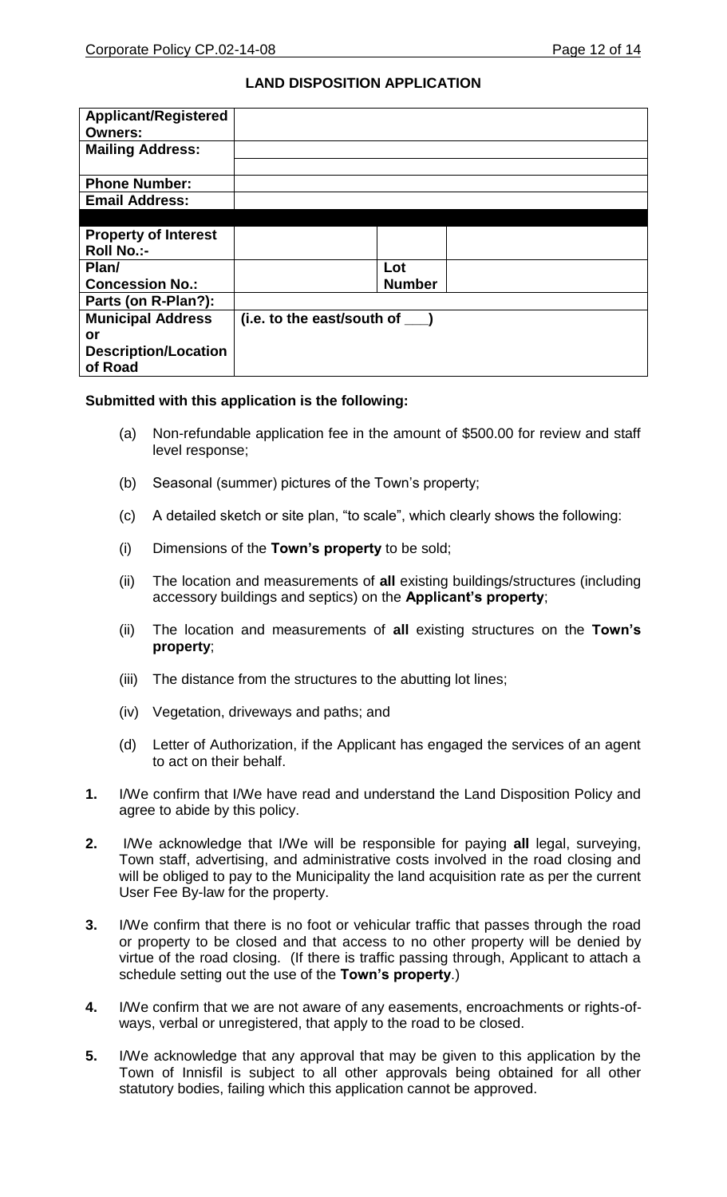# **LAND DISPOSITION APPLICATION**

| <b>Applicant/Registered</b><br><b>Owners:</b> |                                  |  |
|-----------------------------------------------|----------------------------------|--|
| <b>Mailing Address:</b>                       |                                  |  |
| <b>Phone Number:</b>                          |                                  |  |
| <b>Email Address:</b>                         |                                  |  |
|                                               |                                  |  |
| <b>Property of Interest</b>                   |                                  |  |
| <b>Roll No.:-</b>                             |                                  |  |
| Plan/                                         | Lot                              |  |
| <b>Concession No.:</b>                        | <b>Number</b>                    |  |
| Parts (on R-Plan?):                           |                                  |  |
| <b>Municipal Address</b>                      | $(i.e. to the east/south of$ $)$ |  |
| or                                            |                                  |  |
| <b>Description/Location</b>                   |                                  |  |
| of Road                                       |                                  |  |

## **Submitted with this application is the following:**

- (a) Non-refundable application fee in the amount of \$500.00 for review and staff level response;
- (b) Seasonal (summer) pictures of the Town's property;
- (c) A detailed sketch or site plan, "to scale", which clearly shows the following:
- (i) Dimensions of the **Town's property** to be sold;
- (ii) The location and measurements of **all** existing buildings/structures (including accessory buildings and septics) on the **Applicant's property**;
- (ii) The location and measurements of **all** existing structures on the **Town's property**;
- (iii) The distance from the structures to the abutting lot lines;
- (iv) Vegetation, driveways and paths; and
- (d) Letter of Authorization, if the Applicant has engaged the services of an agent to act on their behalf.
- **1.** I/We confirm that I/We have read and understand the Land Disposition Policy and agree to abide by this policy.
- **2.** I/We acknowledge that I/We will be responsible for paying **all** legal, surveying, Town staff, advertising, and administrative costs involved in the road closing and will be obliged to pay to the Municipality the land acquisition rate as per the current User Fee By-law for the property.
- **3.** I/We confirm that there is no foot or vehicular traffic that passes through the road or property to be closed and that access to no other property will be denied by virtue of the road closing. (If there is traffic passing through, Applicant to attach a schedule setting out the use of the **Town's property**.)
- **4.** I/We confirm that we are not aware of any easements, encroachments or rights-ofways, verbal or unregistered, that apply to the road to be closed.
- **5.** I/We acknowledge that any approval that may be given to this application by the Town of Innisfil is subject to all other approvals being obtained for all other statutory bodies, failing which this application cannot be approved.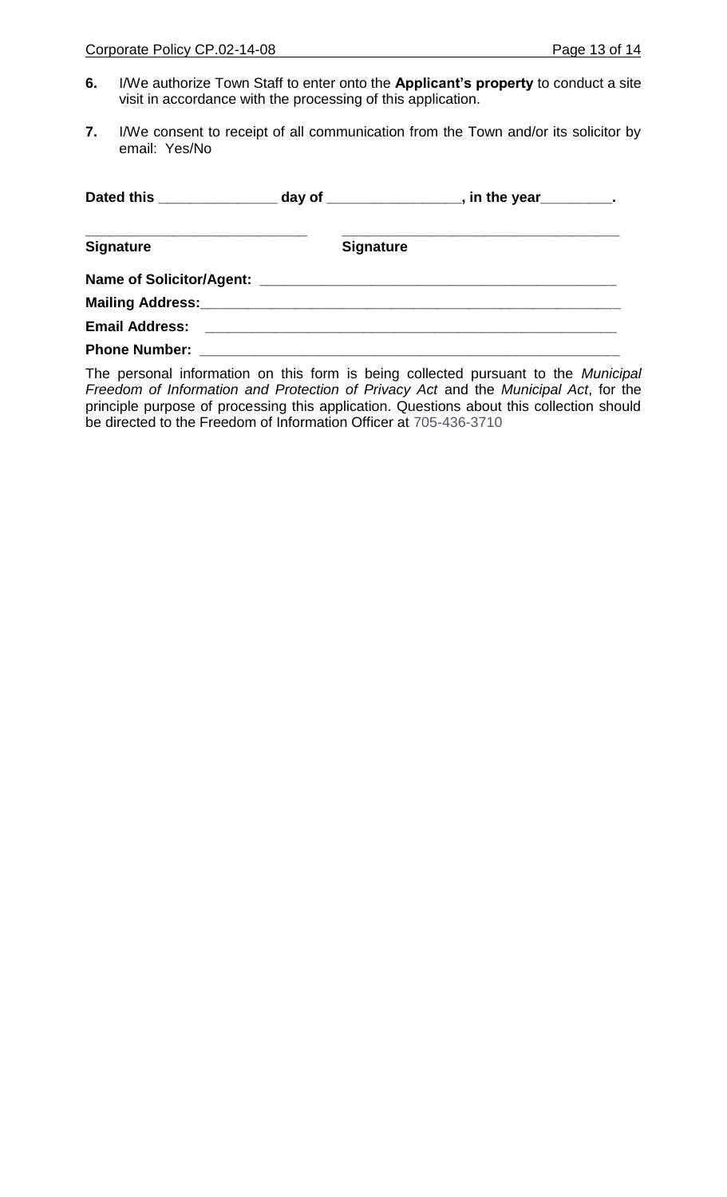- **6.** I/We authorize Town Staff to enter onto the **Applicant's property** to conduct a site visit in accordance with the processing of this application.
- **7.** I/We consent to receipt of all communication from the Town and/or its solicitor by email: Yes/No

| <b>Signature</b>                  | <b>Signature</b> |
|-----------------------------------|------------------|
|                                   |                  |
| Mailing Address: Mailing Address: |                  |
|                                   |                  |
| <b>Phone Number:</b>              |                  |

The personal information on this form is being collected pursuant to the *Municipal Freedom of Information and Protection of Privacy Act* and the *Municipal Act*, for the principle purpose of processing this application. Questions about this collection should be directed to the Freedom of Information Officer at 705-436-3710